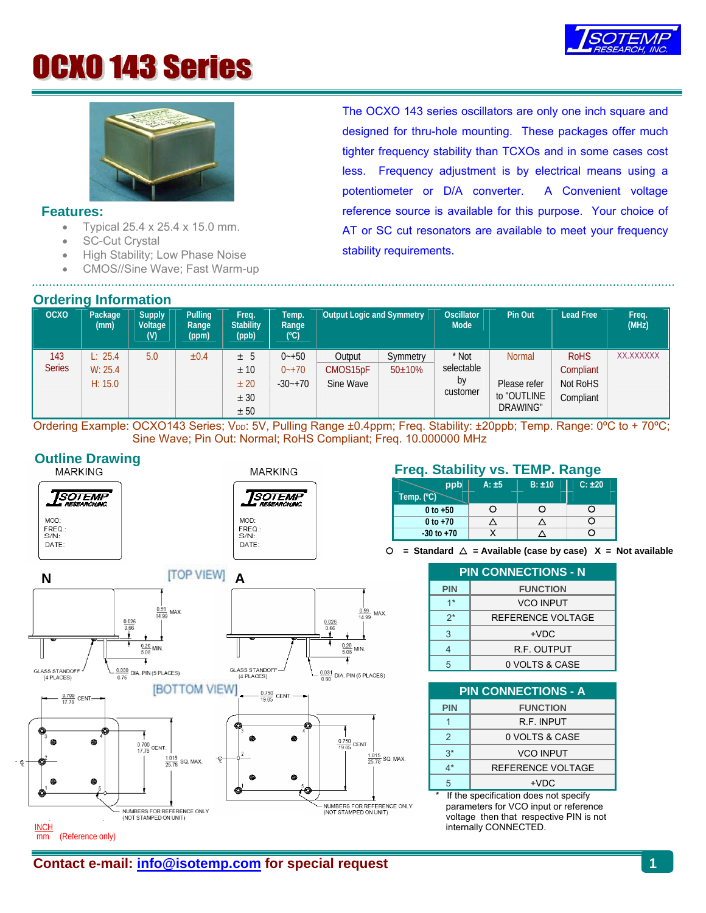

# **OCXO 143 Series**



### **Features:**

- Typical  $25.4 \times 25.4 \times 15.0$  mm.
- SC-Cut Crystal
- High Stability; Low Phase Noise
- CMOS//Sine Wave; Fast Warm-up

### **Ordering Information**

The OCXO 143 series oscillators are only one inch square and designed for thru-hole mounting. These packages offer much tighter frequency stability than TCXOs and in some cases cost less. Frequency adjustment is by electrical means using a potentiometer or D/A converter. A Convenient voltage reference source is available for this purpose. Your choice of AT or SC cut resonators are available to meet your frequency stability requirements.

| <b>OCXO</b>          | Package<br>(mm)               | <b>Supply</b><br>Voltage<br>(V) | Pulling<br>Range<br>(ppm) | Freq.<br><b>Stability</b><br>(ppb)    | Гетр.<br>Range<br>(C)                 | Output Logic and Symmetry       |                           | <b>Oscillator</b><br>Mode             | Pin Out                                                  | <b>Lead Free</b>                                  | Freq.<br>(MHz)   |
|----------------------|-------------------------------|---------------------------------|---------------------------|---------------------------------------|---------------------------------------|---------------------------------|---------------------------|---------------------------------------|----------------------------------------------------------|---------------------------------------------------|------------------|
| 143<br><b>Series</b> | L: 25.4<br>W: 25.4<br>H: 15.0 | 5.0                             | $\pm 0.4$                 | $±$ 5<br>± 10<br>± 20<br>± 30<br>± 50 | $0 - +50$<br>$0 - +70$<br>$-30 - +70$ | Output<br>CMOS15pF<br>Sine Wave | Symmetry<br>$50 \pm 10\%$ | * Not<br>selectable<br>by<br>customer | <b>Normal</b><br>Please refer<br>to "OUTLINE<br>DRAWING" | <b>RoHS</b><br>Compliant<br>Not RoHS<br>Compliant | <b>XX.XXXXXX</b> |

Ordering Example: OCXO143 Series; V<sub>DD</sub>: 5V, Pulling Range ±0.4ppm; Freq. Stability: ±20ppb; Temp. Range: 0°C to + 70°C; Sine Wave; Pin Out: Normal; RoHS Compliant; Freq. 10.000000 MHz

## **Outline Drawing**







# **EXAMPLE STARKING MARKING RANGE STABILITY VS. TEMP. Range**

|            | ppb            | $A: \pm 5$ | $B: \pm 10$ | $C: \pm 20$ |
|------------|----------------|------------|-------------|-------------|
| Temp. (°C) |                |            |             |             |
|            | 0 to $+50$     |            |             |             |
|            | 0 to $+70$     |            |             | 2           |
|            | $-30$ to $+70$ |            |             |             |

 $O =$  Standard  $\triangle =$  Available (case by case)  $X =$  Not available

| <b>PIN CONNECTIONS - N</b> |                    |  |  |  |  |  |
|----------------------------|--------------------|--|--|--|--|--|
| <b>PIN</b>                 | <b>FUNCTION</b>    |  |  |  |  |  |
| $1*$                       | <b>VCO INPUT</b>   |  |  |  |  |  |
| $2^*$                      | REFERENCE VOLTAGE  |  |  |  |  |  |
| 3                          | $+VDC$             |  |  |  |  |  |
|                            | <b>R.F. OUTPUT</b> |  |  |  |  |  |
|                            | 0 VOLTS & CASE     |  |  |  |  |  |

| <b>PIN CONNECTIONS - A</b> |                   |  |  |  |  |  |
|----------------------------|-------------------|--|--|--|--|--|
| <b>PIN</b>                 | <b>FUNCTION</b>   |  |  |  |  |  |
|                            | R.F. INPUT        |  |  |  |  |  |
| $\mathcal{P}$              | 0 VOLTS & CASE    |  |  |  |  |  |
| $3^*$                      | <b>VCO INPUT</b>  |  |  |  |  |  |
| 1*                         | REFERENCE VOLTAGE |  |  |  |  |  |
|                            | $+VDC$            |  |  |  |  |  |

If the specification does not specify parameters for VCO input or reference voltage then that respective PIN is not internally CONNECTED.